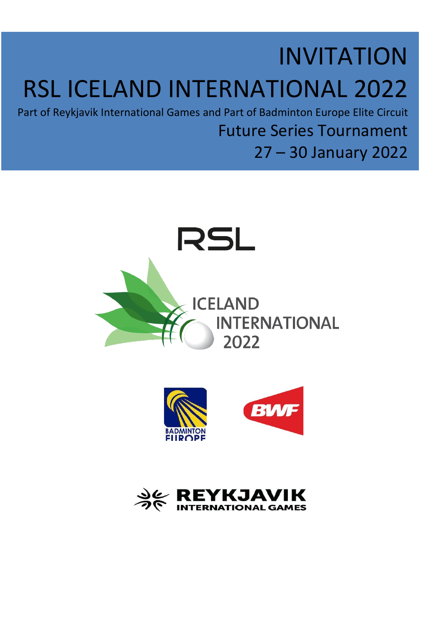## INVITATION RSL ICELAND INTERNATIONAL 2022

Part of Reykjavik International Games and Part of Badminton Europe Elite Circuit

Future Series Tournament

27 – 30 January 2022





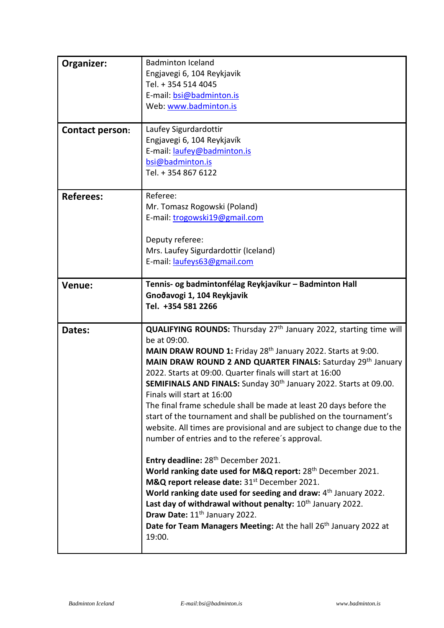| Organizer:<br><b>Contact person:</b> | <b>Badminton Iceland</b><br>Engjavegi 6, 104 Reykjavik<br>Tel. + 354 514 4045<br>E-mail: bsi@badminton.is<br>Web: www.badminton.is<br>Laufey Sigurdardottir<br>Engjavegi 6, 104 Reykjavík                                                                                                                                                                                                                                                                                                                                                                                                                                                                                                                                                                                                                                                                                                                                                                                                                                                                                                                                                                                          |
|--------------------------------------|------------------------------------------------------------------------------------------------------------------------------------------------------------------------------------------------------------------------------------------------------------------------------------------------------------------------------------------------------------------------------------------------------------------------------------------------------------------------------------------------------------------------------------------------------------------------------------------------------------------------------------------------------------------------------------------------------------------------------------------------------------------------------------------------------------------------------------------------------------------------------------------------------------------------------------------------------------------------------------------------------------------------------------------------------------------------------------------------------------------------------------------------------------------------------------|
|                                      | E-mail: laufey@badminton.is<br>bsi@badminton.is<br>Tel. + 354 867 6122                                                                                                                                                                                                                                                                                                                                                                                                                                                                                                                                                                                                                                                                                                                                                                                                                                                                                                                                                                                                                                                                                                             |
| <b>Referees:</b>                     | Referee:<br>Mr. Tomasz Rogowski (Poland)<br>E-mail: trogowski19@gmail.com<br>Deputy referee:<br>Mrs. Laufey Sigurdardottir (Iceland)<br>E-mail: laufeys63@gmail.com                                                                                                                                                                                                                                                                                                                                                                                                                                                                                                                                                                                                                                                                                                                                                                                                                                                                                                                                                                                                                |
| Venue:                               | Tennis- og badmintonfélag Reykjavíkur – Badminton Hall<br>Gnoðavogi 1, 104 Reykjavik<br>Tel. +354 581 2266                                                                                                                                                                                                                                                                                                                                                                                                                                                                                                                                                                                                                                                                                                                                                                                                                                                                                                                                                                                                                                                                         |
| Dates:                               | QUALIFYING ROUNDS: Thursday 27 <sup>th</sup> January 2022, starting time will<br>be at 09:00.<br>MAIN DRAW ROUND 1: Friday 28 <sup>th</sup> January 2022. Starts at 9:00.<br>MAIN DRAW ROUND 2 AND QUARTER FINALS: Saturday 29th January<br>2022. Starts at 09:00. Quarter finals will start at 16:00<br>SEMIFINALS AND FINALS: Sunday 30 <sup>th</sup> January 2022. Starts at 09.00.<br>Finals will start at 16:00<br>The final frame schedule shall be made at least 20 days before the<br>start of the tournament and shall be published on the tournament's<br>website. All times are provisional and are subject to change due to the<br>number of entries and to the referee's approval.<br>Entry deadline: 28 <sup>th</sup> December 2021.<br>World ranking date used for M&Q report: 28 <sup>th</sup> December 2021.<br>M&Q report release date: 31 <sup>st</sup> December 2021.<br>World ranking date used for seeding and draw: 4 <sup>th</sup> January 2022.<br>Last day of withdrawal without penalty: $10^{th}$ January 2022.<br>Draw Date: 11 <sup>th</sup> January 2022.<br>Date for Team Managers Meeting: At the hall 26 <sup>th</sup> January 2022 at<br>19:00. |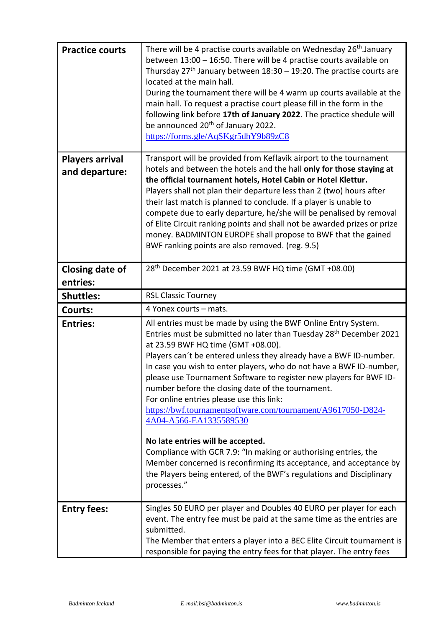| <b>Practice courts</b>                   | There will be 4 practise courts available on Wednesday 26 <sup>th</sup> .January<br>between 13:00 - 16:50. There will be 4 practise courts available on<br>Thursday $27th$ January between 18:30 – 19:20. The practise courts are<br>located at the main hall.<br>During the tournament there will be 4 warm up courts available at the<br>main hall. To request a practise court please fill in the form in the<br>following link before 17th of January 2022. The practice shedule will<br>be announced 20 <sup>th</sup> of January 2022.<br>https://forms.gle/AqSKgr5dhY9b89zC8                                                                                                                                                                                                                                                                                        |
|------------------------------------------|---------------------------------------------------------------------------------------------------------------------------------------------------------------------------------------------------------------------------------------------------------------------------------------------------------------------------------------------------------------------------------------------------------------------------------------------------------------------------------------------------------------------------------------------------------------------------------------------------------------------------------------------------------------------------------------------------------------------------------------------------------------------------------------------------------------------------------------------------------------------------|
| <b>Players arrival</b><br>and departure: | Transport will be provided from Keflavik airport to the tournament<br>hotels and between the hotels and the hall only for those staying at<br>the official tournament hotels, Hotel Cabin or Hotel Klettur.<br>Players shall not plan their departure less than 2 (two) hours after<br>their last match is planned to conclude. If a player is unable to<br>compete due to early departure, he/she will be penalised by removal<br>of Elite Circuit ranking points and shall not be awarded prizes or prize<br>money. BADMINTON EUROPE shall propose to BWF that the gained<br>BWF ranking points are also removed. (reg. 9.5)                                                                                                                                                                                                                                            |
| <b>Closing date of</b><br>entries:       | 28 <sup>th</sup> December 2021 at 23.59 BWF HQ time (GMT +08.00)                                                                                                                                                                                                                                                                                                                                                                                                                                                                                                                                                                                                                                                                                                                                                                                                          |
| <b>Shuttles:</b>                         | <b>RSL Classic Tourney</b>                                                                                                                                                                                                                                                                                                                                                                                                                                                                                                                                                                                                                                                                                                                                                                                                                                                |
| <b>Courts:</b>                           | 4 Yonex courts - mats.                                                                                                                                                                                                                                                                                                                                                                                                                                                                                                                                                                                                                                                                                                                                                                                                                                                    |
| <b>Entries:</b>                          | All entries must be made by using the BWF Online Entry System.<br>Entries must be submitted no later than Tuesday 28 <sup>th</sup> December 2021<br>at 23.59 BWF HQ time (GMT +08.00).<br>Players can't be entered unless they already have a BWF ID-number.<br>In case you wish to enter players, who do not have a BWF ID-number,<br>please use Tournament Software to register new players for BWF ID-<br>number before the closing date of the tournament.<br>For online entries please use this link:<br>https://bwf.tournamentsoftware.com/tournament/A9617050-D824-<br>4A04-A566-EA1335589530<br>No late entries will be accepted.<br>Compliance with GCR 7.9: "In making or authorising entries, the<br>Member concerned is reconfirming its acceptance, and acceptance by<br>the Players being entered, of the BWF's regulations and Disciplinary<br>processes." |
| <b>Entry fees:</b>                       | Singles 50 EURO per player and Doubles 40 EURO per player for each<br>event. The entry fee must be paid at the same time as the entries are<br>submitted.<br>The Member that enters a player into a BEC Elite Circuit tournament is<br>responsible for paying the entry fees for that player. The entry fees                                                                                                                                                                                                                                                                                                                                                                                                                                                                                                                                                              |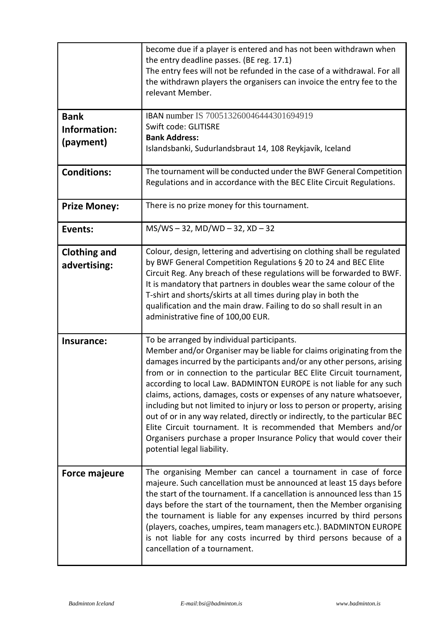|                                          | become due if a player is entered and has not been withdrawn when<br>the entry deadline passes. (BE reg. 17.1)<br>The entry fees will not be refunded in the case of a withdrawal. For all<br>the withdrawn players the organisers can invoice the entry fee to the<br>relevant Member.                                                                                                                                                                                                                                                                                                                                                                                                                                                                      |
|------------------------------------------|--------------------------------------------------------------------------------------------------------------------------------------------------------------------------------------------------------------------------------------------------------------------------------------------------------------------------------------------------------------------------------------------------------------------------------------------------------------------------------------------------------------------------------------------------------------------------------------------------------------------------------------------------------------------------------------------------------------------------------------------------------------|
| <b>Bank</b><br>Information:<br>(payment) | IBAN number IS 700513260046444301694919<br>Swift code: GLITISRE<br><b>Bank Address:</b><br>Islandsbanki, Sudurlandsbraut 14, 108 Reykjavík, Iceland                                                                                                                                                                                                                                                                                                                                                                                                                                                                                                                                                                                                          |
| <b>Conditions:</b>                       | The tournament will be conducted under the BWF General Competition<br>Regulations and in accordance with the BEC Elite Circuit Regulations.                                                                                                                                                                                                                                                                                                                                                                                                                                                                                                                                                                                                                  |
| <b>Prize Money:</b>                      | There is no prize money for this tournament.                                                                                                                                                                                                                                                                                                                                                                                                                                                                                                                                                                                                                                                                                                                 |
| <b>Events:</b>                           | $MS/WS - 32$ , MD/WD $- 32$ , XD $- 32$                                                                                                                                                                                                                                                                                                                                                                                                                                                                                                                                                                                                                                                                                                                      |
| <b>Clothing and</b><br>advertising:      | Colour, design, lettering and advertising on clothing shall be regulated<br>by BWF General Competition Regulations § 20 to 24 and BEC Elite<br>Circuit Reg. Any breach of these regulations will be forwarded to BWF.<br>It is mandatory that partners in doubles wear the same colour of the<br>T-shirt and shorts/skirts at all times during play in both the<br>qualification and the main draw. Failing to do so shall result in an<br>administrative fine of 100,00 EUR.                                                                                                                                                                                                                                                                                |
| Insurance:                               | To be arranged by individual participants.<br>Member and/or Organiser may be liable for claims originating from the<br>damages incurred by the participants and/or any other persons, arising<br>from or in connection to the particular BEC Elite Circuit tournament,<br>according to local Law. BADMINTON EUROPE is not liable for any such<br>claims, actions, damages, costs or expenses of any nature whatsoever,<br>including but not limited to injury or loss to person or property, arising<br>out of or in any way related, directly or indirectly, to the particular BEC<br>Elite Circuit tournament. It is recommended that Members and/or<br>Organisers purchase a proper Insurance Policy that would cover their<br>potential legal liability. |
| <b>Force majeure</b>                     | The organising Member can cancel a tournament in case of force<br>majeure. Such cancellation must be announced at least 15 days before<br>the start of the tournament. If a cancellation is announced less than 15<br>days before the start of the tournament, then the Member organising<br>the tournament is liable for any expenses incurred by third persons<br>(players, coaches, umpires, team managers etc.). BADMINTON EUROPE<br>is not liable for any costs incurred by third persons because of a<br>cancellation of a tournament.                                                                                                                                                                                                                 |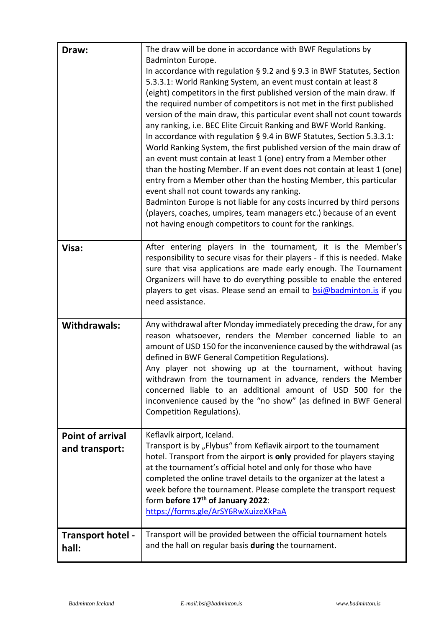| Draw:                                     | The draw will be done in accordance with BWF Regulations by<br>Badminton Europe.<br>In accordance with regulation § 9.2 and § 9.3 in BWF Statutes, Section<br>5.3.3.1: World Ranking System, an event must contain at least 8<br>(eight) competitors in the first published version of the main draw. If<br>the required number of competitors is not met in the first published<br>version of the main draw, this particular event shall not count towards<br>any ranking, i.e. BEC Elite Circuit Ranking and BWF World Ranking.<br>In accordance with regulation § 9.4 in BWF Statutes, Section 5.3.3.1:<br>World Ranking System, the first published version of the main draw of<br>an event must contain at least 1 (one) entry from a Member other<br>than the hosting Member. If an event does not contain at least 1 (one)<br>entry from a Member other than the hosting Member, this particular<br>event shall not count towards any ranking.<br>Badminton Europe is not liable for any costs incurred by third persons<br>(players, coaches, umpires, team managers etc.) because of an event<br>not having enough competitors to count for the rankings. |
|-------------------------------------------|--------------------------------------------------------------------------------------------------------------------------------------------------------------------------------------------------------------------------------------------------------------------------------------------------------------------------------------------------------------------------------------------------------------------------------------------------------------------------------------------------------------------------------------------------------------------------------------------------------------------------------------------------------------------------------------------------------------------------------------------------------------------------------------------------------------------------------------------------------------------------------------------------------------------------------------------------------------------------------------------------------------------------------------------------------------------------------------------------------------------------------------------------------------------|
| Visa:                                     | After entering players in the tournament, it is the Member's<br>responsibility to secure visas for their players - if this is needed. Make<br>sure that visa applications are made early enough. The Tournament<br>Organizers will have to do everything possible to enable the entered<br>players to get visas. Please send an email to <b>bsi@badminton.is</b> if you<br>need assistance.                                                                                                                                                                                                                                                                                                                                                                                                                                                                                                                                                                                                                                                                                                                                                                        |
| <b>Withdrawals:</b>                       | Any withdrawal after Monday immediately preceding the draw, for any<br>reason whatsoever, renders the Member concerned liable to an<br>amount of USD 150 for the inconvenience caused by the withdrawal (as<br>defined in BWF General Competition Regulations).<br>Any player not showing up at the tournament, without having<br>withdrawn from the tournament in advance, renders the Member<br>concerned liable to an additional amount of USD 500 for the<br>inconvenience caused by the "no show" (as defined in BWF General<br>Competition Regulations).                                                                                                                                                                                                                                                                                                                                                                                                                                                                                                                                                                                                     |
| <b>Point of arrival</b><br>and transport: | Keflavík airport, Iceland.<br>Transport is by "Flybus" from Keflavik airport to the tournament<br>hotel. Transport from the airport is only provided for players staying<br>at the tournament's official hotel and only for those who have<br>completed the online travel details to the organizer at the latest a<br>week before the tournament. Please complete the transport request<br>form before 17th of January 2022:<br>https://forms.gle/ArSY6RwXuizeXkPaA                                                                                                                                                                                                                                                                                                                                                                                                                                                                                                                                                                                                                                                                                                |
| <b>Transport hotel -</b><br>hall:         | Transport will be provided between the official tournament hotels<br>and the hall on regular basis during the tournament.                                                                                                                                                                                                                                                                                                                                                                                                                                                                                                                                                                                                                                                                                                                                                                                                                                                                                                                                                                                                                                          |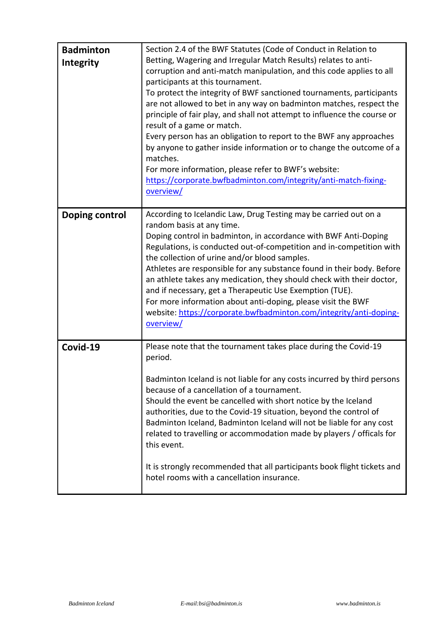| <b>Badminton</b><br>Integrity | Section 2.4 of the BWF Statutes (Code of Conduct in Relation to<br>Betting, Wagering and Irregular Match Results) relates to anti-<br>corruption and anti-match manipulation, and this code applies to all<br>participants at this tournament.<br>To protect the integrity of BWF sanctioned tournaments, participants<br>are not allowed to bet in any way on badminton matches, respect the<br>principle of fair play, and shall not attempt to influence the course or<br>result of a game or match.<br>Every person has an obligation to report to the BWF any approaches<br>by anyone to gather inside information or to change the outcome of a<br>matches.<br>For more information, please refer to BWF's website:<br>https://corporate.bwfbadminton.com/integrity/anti-match-fixing-<br>overview/ |
|-------------------------------|-----------------------------------------------------------------------------------------------------------------------------------------------------------------------------------------------------------------------------------------------------------------------------------------------------------------------------------------------------------------------------------------------------------------------------------------------------------------------------------------------------------------------------------------------------------------------------------------------------------------------------------------------------------------------------------------------------------------------------------------------------------------------------------------------------------|
| Doping control                | According to Icelandic Law, Drug Testing may be carried out on a<br>random basis at any time.<br>Doping control in badminton, in accordance with BWF Anti-Doping<br>Regulations, is conducted out-of-competition and in-competition with<br>the collection of urine and/or blood samples.<br>Athletes are responsible for any substance found in their body. Before<br>an athlete takes any medication, they should check with their doctor,<br>and if necessary, get a Therapeutic Use Exemption (TUE).<br>For more information about anti-doping, please visit the BWF<br>website: https://corporate.bwfbadminton.com/integrity/anti-doping-<br>overview/                                                                                                                                               |
| Covid-19                      | Please note that the tournament takes place during the Covid-19<br>period.<br>Badminton Iceland is not liable for any costs incurred by third persons<br>because of a cancellation of a tournament.<br>Should the event be cancelled with short notice by the Iceland<br>authorities, due to the Covid-19 situation, beyond the control of<br>Badminton Iceland, Badminton Iceland will not be liable for any cost<br>related to travelling or accommodation made by players / officals for<br>this event.<br>It is strongly recommended that all participants book flight tickets and<br>hotel rooms with a cancellation insurance.                                                                                                                                                                      |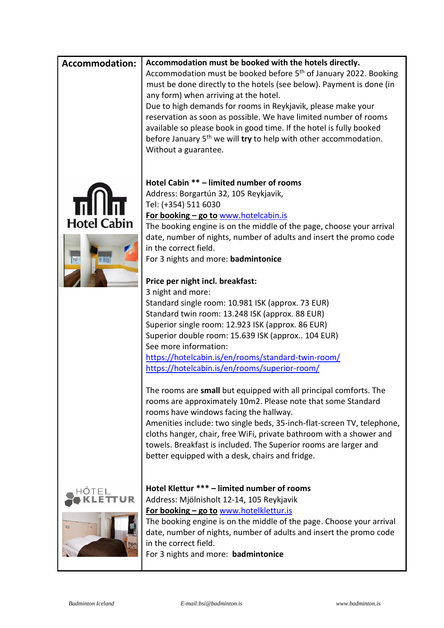| Accommodation must be booked with the hotels directly.<br><b>Accommodation:</b><br>Accommodation must be booked before 5 <sup>th</sup> of January 2022. Booking<br>must be done directly to the hotels (see below). Payment is done (in<br>any form) when arriving at the hotel.<br>Due to high demands for rooms in Reykjavik, please make your<br>reservation as soon as possible. We have limited number of rooms<br>available so please book in good time. If the hotel is fully booked<br>before January 5 <sup>th</sup> we will try to help with other accommodation.<br>Without a guarantee.<br>Hotel Cabin ** - limited number of rooms<br>Address: Borgartún 32, 105 Reykjavik,<br>Tel: (+354) 511 6030<br>For booking - go to www.hotelcabin.is<br><b>Hotel Cabin</b><br>The booking engine is on the middle of the page, choose your arrival<br>date, number of nights, number of adults and insert the promo code<br>in the correct field.<br>For 3 nights and more: badmintonice<br>Price per night incl. breakfast:<br>3 night and more:<br>Standard single room: 10.981 ISK (approx. 73 EUR)<br>Standard twin room: 13.248 ISK (approx. 88 EUR)<br>Superior single room: 12.923 ISK (approx. 86 EUR)<br>Superior double room: 15.639 ISK (approx 104 EUR)<br>See more information:<br>https://hotelcabin.is/en/rooms/standard-twin-room/<br>https://hotelcabin.is/en/rooms/superior-room/<br>The rooms are small but equipped with all principal comforts. The<br>rooms are approximately 10m2. Please note that some Standard |
|-----------------------------------------------------------------------------------------------------------------------------------------------------------------------------------------------------------------------------------------------------------------------------------------------------------------------------------------------------------------------------------------------------------------------------------------------------------------------------------------------------------------------------------------------------------------------------------------------------------------------------------------------------------------------------------------------------------------------------------------------------------------------------------------------------------------------------------------------------------------------------------------------------------------------------------------------------------------------------------------------------------------------------------------------------------------------------------------------------------------------------------------------------------------------------------------------------------------------------------------------------------------------------------------------------------------------------------------------------------------------------------------------------------------------------------------------------------------------------------------------------------------------------------------------|
|                                                                                                                                                                                                                                                                                                                                                                                                                                                                                                                                                                                                                                                                                                                                                                                                                                                                                                                                                                                                                                                                                                                                                                                                                                                                                                                                                                                                                                                                                                                                               |
|                                                                                                                                                                                                                                                                                                                                                                                                                                                                                                                                                                                                                                                                                                                                                                                                                                                                                                                                                                                                                                                                                                                                                                                                                                                                                                                                                                                                                                                                                                                                               |
|                                                                                                                                                                                                                                                                                                                                                                                                                                                                                                                                                                                                                                                                                                                                                                                                                                                                                                                                                                                                                                                                                                                                                                                                                                                                                                                                                                                                                                                                                                                                               |
|                                                                                                                                                                                                                                                                                                                                                                                                                                                                                                                                                                                                                                                                                                                                                                                                                                                                                                                                                                                                                                                                                                                                                                                                                                                                                                                                                                                                                                                                                                                                               |
|                                                                                                                                                                                                                                                                                                                                                                                                                                                                                                                                                                                                                                                                                                                                                                                                                                                                                                                                                                                                                                                                                                                                                                                                                                                                                                                                                                                                                                                                                                                                               |
|                                                                                                                                                                                                                                                                                                                                                                                                                                                                                                                                                                                                                                                                                                                                                                                                                                                                                                                                                                                                                                                                                                                                                                                                                                                                                                                                                                                                                                                                                                                                               |
|                                                                                                                                                                                                                                                                                                                                                                                                                                                                                                                                                                                                                                                                                                                                                                                                                                                                                                                                                                                                                                                                                                                                                                                                                                                                                                                                                                                                                                                                                                                                               |
|                                                                                                                                                                                                                                                                                                                                                                                                                                                                                                                                                                                                                                                                                                                                                                                                                                                                                                                                                                                                                                                                                                                                                                                                                                                                                                                                                                                                                                                                                                                                               |
|                                                                                                                                                                                                                                                                                                                                                                                                                                                                                                                                                                                                                                                                                                                                                                                                                                                                                                                                                                                                                                                                                                                                                                                                                                                                                                                                                                                                                                                                                                                                               |
|                                                                                                                                                                                                                                                                                                                                                                                                                                                                                                                                                                                                                                                                                                                                                                                                                                                                                                                                                                                                                                                                                                                                                                                                                                                                                                                                                                                                                                                                                                                                               |
|                                                                                                                                                                                                                                                                                                                                                                                                                                                                                                                                                                                                                                                                                                                                                                                                                                                                                                                                                                                                                                                                                                                                                                                                                                                                                                                                                                                                                                                                                                                                               |
|                                                                                                                                                                                                                                                                                                                                                                                                                                                                                                                                                                                                                                                                                                                                                                                                                                                                                                                                                                                                                                                                                                                                                                                                                                                                                                                                                                                                                                                                                                                                               |
|                                                                                                                                                                                                                                                                                                                                                                                                                                                                                                                                                                                                                                                                                                                                                                                                                                                                                                                                                                                                                                                                                                                                                                                                                                                                                                                                                                                                                                                                                                                                               |
|                                                                                                                                                                                                                                                                                                                                                                                                                                                                                                                                                                                                                                                                                                                                                                                                                                                                                                                                                                                                                                                                                                                                                                                                                                                                                                                                                                                                                                                                                                                                               |
|                                                                                                                                                                                                                                                                                                                                                                                                                                                                                                                                                                                                                                                                                                                                                                                                                                                                                                                                                                                                                                                                                                                                                                                                                                                                                                                                                                                                                                                                                                                                               |
|                                                                                                                                                                                                                                                                                                                                                                                                                                                                                                                                                                                                                                                                                                                                                                                                                                                                                                                                                                                                                                                                                                                                                                                                                                                                                                                                                                                                                                                                                                                                               |
|                                                                                                                                                                                                                                                                                                                                                                                                                                                                                                                                                                                                                                                                                                                                                                                                                                                                                                                                                                                                                                                                                                                                                                                                                                                                                                                                                                                                                                                                                                                                               |
|                                                                                                                                                                                                                                                                                                                                                                                                                                                                                                                                                                                                                                                                                                                                                                                                                                                                                                                                                                                                                                                                                                                                                                                                                                                                                                                                                                                                                                                                                                                                               |
|                                                                                                                                                                                                                                                                                                                                                                                                                                                                                                                                                                                                                                                                                                                                                                                                                                                                                                                                                                                                                                                                                                                                                                                                                                                                                                                                                                                                                                                                                                                                               |
|                                                                                                                                                                                                                                                                                                                                                                                                                                                                                                                                                                                                                                                                                                                                                                                                                                                                                                                                                                                                                                                                                                                                                                                                                                                                                                                                                                                                                                                                                                                                               |
|                                                                                                                                                                                                                                                                                                                                                                                                                                                                                                                                                                                                                                                                                                                                                                                                                                                                                                                                                                                                                                                                                                                                                                                                                                                                                                                                                                                                                                                                                                                                               |
|                                                                                                                                                                                                                                                                                                                                                                                                                                                                                                                                                                                                                                                                                                                                                                                                                                                                                                                                                                                                                                                                                                                                                                                                                                                                                                                                                                                                                                                                                                                                               |
|                                                                                                                                                                                                                                                                                                                                                                                                                                                                                                                                                                                                                                                                                                                                                                                                                                                                                                                                                                                                                                                                                                                                                                                                                                                                                                                                                                                                                                                                                                                                               |
|                                                                                                                                                                                                                                                                                                                                                                                                                                                                                                                                                                                                                                                                                                                                                                                                                                                                                                                                                                                                                                                                                                                                                                                                                                                                                                                                                                                                                                                                                                                                               |
|                                                                                                                                                                                                                                                                                                                                                                                                                                                                                                                                                                                                                                                                                                                                                                                                                                                                                                                                                                                                                                                                                                                                                                                                                                                                                                                                                                                                                                                                                                                                               |
|                                                                                                                                                                                                                                                                                                                                                                                                                                                                                                                                                                                                                                                                                                                                                                                                                                                                                                                                                                                                                                                                                                                                                                                                                                                                                                                                                                                                                                                                                                                                               |
|                                                                                                                                                                                                                                                                                                                                                                                                                                                                                                                                                                                                                                                                                                                                                                                                                                                                                                                                                                                                                                                                                                                                                                                                                                                                                                                                                                                                                                                                                                                                               |
|                                                                                                                                                                                                                                                                                                                                                                                                                                                                                                                                                                                                                                                                                                                                                                                                                                                                                                                                                                                                                                                                                                                                                                                                                                                                                                                                                                                                                                                                                                                                               |
|                                                                                                                                                                                                                                                                                                                                                                                                                                                                                                                                                                                                                                                                                                                                                                                                                                                                                                                                                                                                                                                                                                                                                                                                                                                                                                                                                                                                                                                                                                                                               |
|                                                                                                                                                                                                                                                                                                                                                                                                                                                                                                                                                                                                                                                                                                                                                                                                                                                                                                                                                                                                                                                                                                                                                                                                                                                                                                                                                                                                                                                                                                                                               |
|                                                                                                                                                                                                                                                                                                                                                                                                                                                                                                                                                                                                                                                                                                                                                                                                                                                                                                                                                                                                                                                                                                                                                                                                                                                                                                                                                                                                                                                                                                                                               |
|                                                                                                                                                                                                                                                                                                                                                                                                                                                                                                                                                                                                                                                                                                                                                                                                                                                                                                                                                                                                                                                                                                                                                                                                                                                                                                                                                                                                                                                                                                                                               |
|                                                                                                                                                                                                                                                                                                                                                                                                                                                                                                                                                                                                                                                                                                                                                                                                                                                                                                                                                                                                                                                                                                                                                                                                                                                                                                                                                                                                                                                                                                                                               |
| rooms have windows facing the hallway.                                                                                                                                                                                                                                                                                                                                                                                                                                                                                                                                                                                                                                                                                                                                                                                                                                                                                                                                                                                                                                                                                                                                                                                                                                                                                                                                                                                                                                                                                                        |
| Amenities include: two single beds, 35-inch-flat-screen TV, telephone,                                                                                                                                                                                                                                                                                                                                                                                                                                                                                                                                                                                                                                                                                                                                                                                                                                                                                                                                                                                                                                                                                                                                                                                                                                                                                                                                                                                                                                                                        |
| cloths hanger, chair, free WiFi, private bathroom with a shower and                                                                                                                                                                                                                                                                                                                                                                                                                                                                                                                                                                                                                                                                                                                                                                                                                                                                                                                                                                                                                                                                                                                                                                                                                                                                                                                                                                                                                                                                           |
|                                                                                                                                                                                                                                                                                                                                                                                                                                                                                                                                                                                                                                                                                                                                                                                                                                                                                                                                                                                                                                                                                                                                                                                                                                                                                                                                                                                                                                                                                                                                               |
| towels. Breakfast is included. The Superior rooms are larger and                                                                                                                                                                                                                                                                                                                                                                                                                                                                                                                                                                                                                                                                                                                                                                                                                                                                                                                                                                                                                                                                                                                                                                                                                                                                                                                                                                                                                                                                              |
| better equipped with a desk, chairs and fridge.                                                                                                                                                                                                                                                                                                                                                                                                                                                                                                                                                                                                                                                                                                                                                                                                                                                                                                                                                                                                                                                                                                                                                                                                                                                                                                                                                                                                                                                                                               |
|                                                                                                                                                                                                                                                                                                                                                                                                                                                                                                                                                                                                                                                                                                                                                                                                                                                                                                                                                                                                                                                                                                                                                                                                                                                                                                                                                                                                                                                                                                                                               |
| Hotel Klettur *** - limited number of rooms<br>HÓTE                                                                                                                                                                                                                                                                                                                                                                                                                                                                                                                                                                                                                                                                                                                                                                                                                                                                                                                                                                                                                                                                                                                                                                                                                                                                                                                                                                                                                                                                                           |
| Address: Mjölnisholt 12-14, 105 Reykjavik                                                                                                                                                                                                                                                                                                                                                                                                                                                                                                                                                                                                                                                                                                                                                                                                                                                                                                                                                                                                                                                                                                                                                                                                                                                                                                                                                                                                                                                                                                     |
| For booking - go to www.hotelklettur.is                                                                                                                                                                                                                                                                                                                                                                                                                                                                                                                                                                                                                                                                                                                                                                                                                                                                                                                                                                                                                                                                                                                                                                                                                                                                                                                                                                                                                                                                                                       |
| The booking engine is on the middle of the page. Choose your arrival                                                                                                                                                                                                                                                                                                                                                                                                                                                                                                                                                                                                                                                                                                                                                                                                                                                                                                                                                                                                                                                                                                                                                                                                                                                                                                                                                                                                                                                                          |
| date, number of nights, number of adults and insert the promo code                                                                                                                                                                                                                                                                                                                                                                                                                                                                                                                                                                                                                                                                                                                                                                                                                                                                                                                                                                                                                                                                                                                                                                                                                                                                                                                                                                                                                                                                            |
| in the correct field.                                                                                                                                                                                                                                                                                                                                                                                                                                                                                                                                                                                                                                                                                                                                                                                                                                                                                                                                                                                                                                                                                                                                                                                                                                                                                                                                                                                                                                                                                                                         |
|                                                                                                                                                                                                                                                                                                                                                                                                                                                                                                                                                                                                                                                                                                                                                                                                                                                                                                                                                                                                                                                                                                                                                                                                                                                                                                                                                                                                                                                                                                                                               |
| For 3 nights and more: badmintonice                                                                                                                                                                                                                                                                                                                                                                                                                                                                                                                                                                                                                                                                                                                                                                                                                                                                                                                                                                                                                                                                                                                                                                                                                                                                                                                                                                                                                                                                                                           |